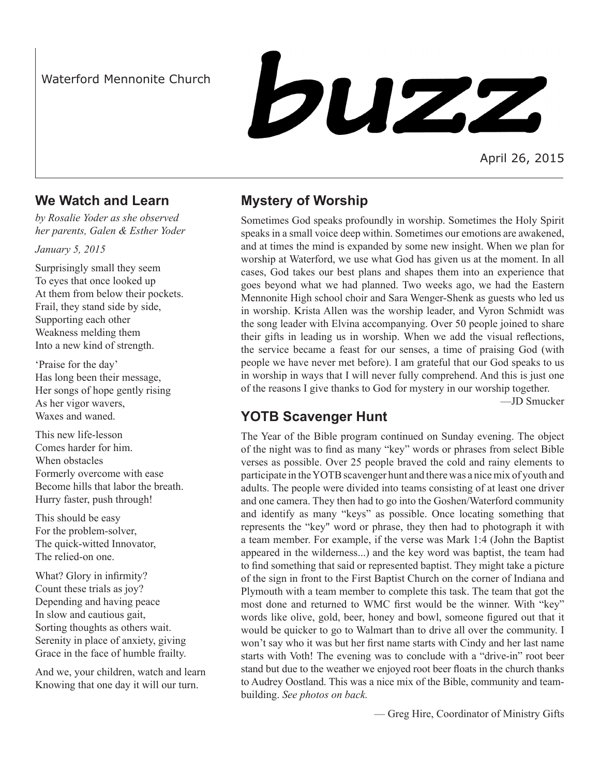## Waterford Mennonite Church

buzz

April 26, 2015

### **We Watch and Learn**

*by Rosalie Yoder as she observed her parents, Galen & Esther Yoder*

*January 5, 2015*

Surprisingly small they seem To eyes that once looked up At them from below their pockets. Frail, they stand side by side, Supporting each other Weakness melding them Into a new kind of strength.

'Praise for the day' Has long been their message, Her songs of hope gently rising As her vigor wavers, Waxes and waned.

This new life-lesson Comes harder for him. When obstacles Formerly overcome with ease Become hills that labor the breath. Hurry faster, push through!

This should be easy For the problem-solver, The quick-witted Innovator, The relied-on one.

What? Glory in infirmity? Count these trials as joy? Depending and having peace In slow and cautious gait, Sorting thoughts as others wait. Serenity in place of anxiety, giving Grace in the face of humble frailty.

And we, your children, watch and learn Knowing that one day it will our turn.

# **Mystery of Worship**

Sometimes God speaks profoundly in worship. Sometimes the Holy Spirit speaks in a small voice deep within. Sometimes our emotions are awakened, and at times the mind is expanded by some new insight. When we plan for worship at Waterford, we use what God has given us at the moment. In all cases, God takes our best plans and shapes them into an experience that goes beyond what we had planned. Two weeks ago, we had the Eastern Mennonite High school choir and Sara Wenger-Shenk as guests who led us in worship. Krista Allen was the worship leader, and Vyron Schmidt was the song leader with Elvina accompanying. Over 50 people joined to share their gifts in leading us in worship. When we add the visual reflections, the service became a feast for our senses, a time of praising God (with people we have never met before). I am grateful that our God speaks to us in worship in ways that I will never fully comprehend. And this is just one of the reasons I give thanks to God for mystery in our worship together.

—JD Smucker

# **YOTB Scavenger Hunt**

The Year of the Bible program continued on Sunday evening. The object of the night was to find as many "key" words or phrases from select Bible verses as possible. Over 25 people braved the cold and rainy elements to participate in the YOTB scavenger hunt and there was a nice mix of youth and adults. The people were divided into teams consisting of at least one driver and one camera. They then had to go into the Goshen/Waterford community and identify as many "keys" as possible. Once locating something that represents the "key" word or phrase, they then had to photograph it with a team member. For example, if the verse was Mark 1:4 (John the Baptist appeared in the wilderness...) and the key word was baptist, the team had to find something that said or represented baptist. They might take a picture of the sign in front to the First Baptist Church on the corner of Indiana and Plymouth with a team member to complete this task. The team that got the most done and returned to WMC first would be the winner. With "key" words like olive, gold, beer, honey and bowl, someone figured out that it would be quicker to go to Walmart than to drive all over the community. I won't say who it was but her first name starts with Cindy and her last name starts with Voth! The evening was to conclude with a "drive-in" root beer stand but due to the weather we enjoyed root beer floats in the church thanks to Audrey Oostland. This was a nice mix of the Bible, community and teambuilding. *See photos on back.*